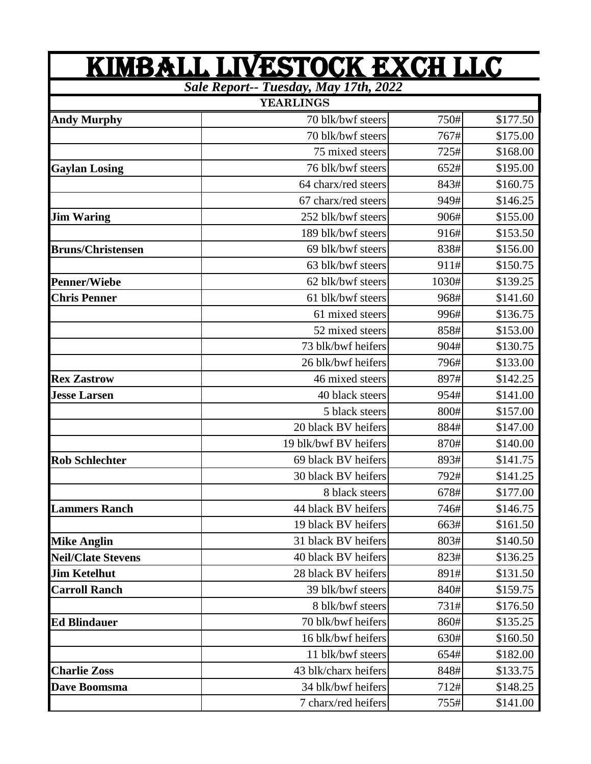| KIMBALL LIVESTOCK EXCH LLC<br>Sale Report-- Tuesday, May 17th, 2022 |                       |       |          |  |
|---------------------------------------------------------------------|-----------------------|-------|----------|--|
|                                                                     |                       |       |          |  |
| <b>Andy Murphy</b>                                                  | 70 blk/bwf steers     | 750#  | \$177.50 |  |
|                                                                     | 70 blk/bwf steers     | 767#  | \$175.00 |  |
|                                                                     | 75 mixed steers       | 725#  | \$168.00 |  |
| <b>Gaylan Losing</b>                                                | 76 blk/bwf steers     | 652#  | \$195.00 |  |
|                                                                     | 64 charx/red steers   | 843#  | \$160.75 |  |
|                                                                     | 67 charx/red steers   | 949#  | \$146.25 |  |
| <b>Jim Waring</b>                                                   | 252 blk/bwf steers    | 906#  | \$155.00 |  |
|                                                                     | 189 blk/bwf steers    | 916#  | \$153.50 |  |
| <b>Bruns/Christensen</b>                                            | 69 blk/bwf steers     | 838#  | \$156.00 |  |
|                                                                     | 63 blk/bwf steers     | 911#  | \$150.75 |  |
| <b>Penner/Wiebe</b>                                                 | 62 blk/bwf steers     | 1030# | \$139.25 |  |
| <b>Chris Penner</b>                                                 | 61 blk/bwf steers     | 968#  | \$141.60 |  |
|                                                                     | 61 mixed steers       | 996#  | \$136.75 |  |
|                                                                     | 52 mixed steers       | 858#  | \$153.00 |  |
|                                                                     | 73 blk/bwf heifers    | 904#  | \$130.75 |  |
|                                                                     | 26 blk/bwf heifers    | 796#  | \$133.00 |  |
| <b>Rex Zastrow</b>                                                  | 46 mixed steers       | 897#  | \$142.25 |  |
| <b>Jesse Larsen</b>                                                 | 40 black steers       | 954#  | \$141.00 |  |
|                                                                     | 5 black steers        | 800#  | \$157.00 |  |
|                                                                     | 20 black BV heifers   | 884#  | \$147.00 |  |
|                                                                     | 19 blk/bwf BV heifers | 870#  | \$140.00 |  |
| <b>Rob Schlechter</b>                                               | 69 black BV heifers   | 893#  | \$141.75 |  |
|                                                                     | 30 black BV heifers   | 792#  | \$141.25 |  |
|                                                                     | 8 black steers        | 678#  | \$177.00 |  |
| <b>Lammers Ranch</b>                                                | 44 black BV heifers   | 746#  | \$146.75 |  |
|                                                                     | 19 black BV heifers   | 663#  | \$161.50 |  |
| <b>Mike Anglin</b>                                                  | 31 black BV heifers   | 803#  | \$140.50 |  |
| <b>Neil/Clate Stevens</b>                                           | 40 black BV heifers   | 823#  | \$136.25 |  |
| <b>Jim Ketelhut</b>                                                 | 28 black BV heifers   | 891#  | \$131.50 |  |
| <b>Carroll Ranch</b>                                                | 39 blk/bwf steers     | 840#  | \$159.75 |  |
|                                                                     | 8 blk/bwf steers      | 731#  | \$176.50 |  |
| <b>Ed Blindauer</b>                                                 | 70 blk/bwf heifers    | 860#  | \$135.25 |  |
|                                                                     | 16 blk/bwf heifers    | 630#  | \$160.50 |  |
|                                                                     | 11 blk/bwf steers     | 654#  | \$182.00 |  |
| <b>Charlie Zoss</b>                                                 | 43 blk/charx heifers  | 848#  | \$133.75 |  |
| Dave Boomsma                                                        | 34 blk/bwf heifers    | 712#  | \$148.25 |  |
|                                                                     | 7 charx/red heifers   | 755#  | \$141.00 |  |